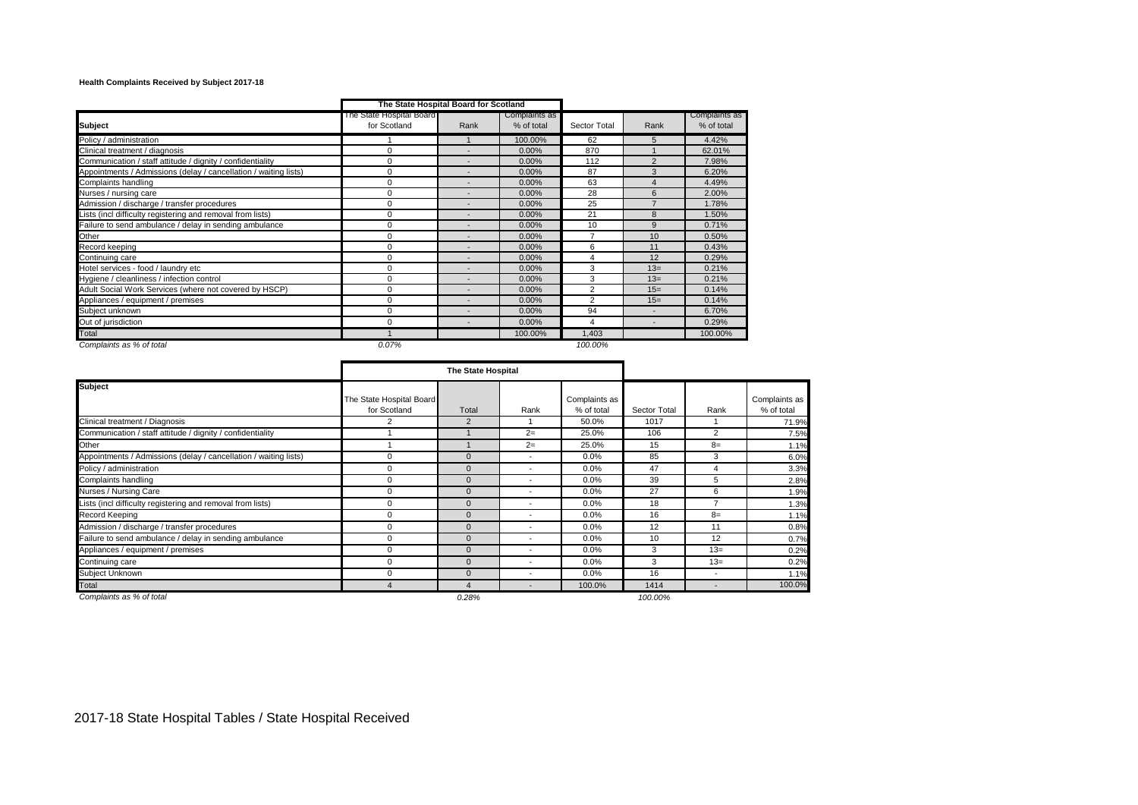## **Health Complaints Received by Subject 2017-18**

|                                                                  |                                          | The State Hospital Board for Scotland |                             |                |                          |                             |
|------------------------------------------------------------------|------------------------------------------|---------------------------------------|-----------------------------|----------------|--------------------------|-----------------------------|
| <b>Subject</b>                                                   | The State Hospital Board<br>for Scotland | Rank                                  | Complaints as<br>% of total | Sector Total   | Rank                     | Complaints as<br>% of total |
| Policy / administration                                          |                                          |                                       | 100.00%                     | 62             | 5                        | 4.42%                       |
| Clinical treatment / diagnosis                                   | 0                                        |                                       | 0.00%                       | 870            |                          | 62.01%                      |
| Communication / staff attitude / dignity / confidentiality       | $\Omega$                                 |                                       | $0.00\%$                    | 112            | $\overline{2}$           | 7.98%                       |
| Appointments / Admissions (delay / cancellation / waiting lists) | $\Omega$                                 |                                       | $0.00\%$                    | 87             | 3                        | 6.20%                       |
| Complaints handling                                              | 0                                        |                                       | 0.00%                       | 63             | $\overline{4}$           | 4.49%                       |
| Nurses / nursing care                                            | 0                                        |                                       | $0.00\%$                    | 28             | 6                        | 2.00%                       |
| Admission / discharge / transfer procedures                      | 0                                        |                                       | $0.00\%$                    | 25             |                          | 1.78%                       |
| Lists (incl difficulty registering and removal from lists)       | 0                                        |                                       | $0.00\%$                    | 21             | 8                        | 1.50%                       |
| Failure to send ambulance / delay in sending ambulance           | $\Omega$                                 |                                       | $0.00\%$                    | 10             | 9                        | 0.71%                       |
| Other                                                            | $\Omega$                                 |                                       | 0.00%                       | 7              | 10                       | 0.50%                       |
| Record keeping                                                   | $\Omega$                                 |                                       | 0.00%                       | 6              | 11                       | 0.43%                       |
| Continuing care                                                  | 0                                        |                                       | $0.00\%$                    | 4              | 12                       | 0.29%                       |
| Hotel services - food / laundry etc                              | 0                                        |                                       | $0.00\%$                    | 3              | $13=$                    | 0.21%                       |
| Hygiene / cleanliness / infection control                        | $\Omega$                                 |                                       | 0.00%                       | 3              | $13=$                    | 0.21%                       |
| Adult Social Work Services (where not covered by HSCP)           | 0                                        |                                       | $0.00\%$                    | 2              | $15=$                    | 0.14%                       |
| Appliances / equipment / premises                                | 0                                        |                                       | 0.00%                       | $\overline{2}$ | $15=$                    | 0.14%                       |
| Subject unknown                                                  | 0                                        |                                       | $0.00\%$                    | 94             | $\overline{\phantom{a}}$ | 6.70%                       |
| Out of jurisdiction                                              | 0                                        |                                       | 0.00%                       | 4              | ٠                        | 0.29%                       |
| Total                                                            |                                          |                                       | 100.00%                     | 1,403          |                          | 100.00%                     |
| Complaints as % of total                                         | 0.07%                                    |                                       |                             | 100.00%        |                          |                             |

|                                                                  |                                          | <b>The State Hospital</b> |                          |                             |              |                          |                             |
|------------------------------------------------------------------|------------------------------------------|---------------------------|--------------------------|-----------------------------|--------------|--------------------------|-----------------------------|
| <b>Subject</b>                                                   | The State Hospital Board<br>for Scotland | Total                     | Rank                     | Complaints as<br>% of total | Sector Total | Rank                     | Complaints as<br>% of total |
| Clinical treatment / Diagnosis                                   | 2                                        | 2                         |                          | 50.0%                       | 1017         |                          | 71.9%                       |
| Communication / staff attitude / dignity / confidentiality       |                                          |                           | $2=$                     | 25.0%                       | 106          | $\overline{2}$           | 7.5%                        |
| Other                                                            |                                          |                           | $2=$                     | 25.0%                       | 15           | $8=$                     | 1.1%                        |
| Appointments / Admissions (delay / cancellation / waiting lists) | $\mathbf 0$                              | $\mathbf{0}$              | $\overline{\phantom{a}}$ | $0.0\%$                     | 85           | 3                        | 6.0%                        |
| Policy / administration                                          | $\mathbf 0$                              | $\mathbf{0}$              | $\overline{\phantom{a}}$ | $0.0\%$                     | 47           | 4                        | 3.3%                        |
| Complaints handling                                              | $\mathbf 0$                              | $\mathbf{0}$              | $\overline{\phantom{a}}$ | $0.0\%$                     | 39           | 5                        | 2.8%                        |
| Nurses / Nursing Care                                            | $\mathbf 0$                              | $\mathbf{0}$              | $\overline{\phantom{a}}$ | $0.0\%$                     | 27           | 6                        | 1.9%                        |
| Lists (incl difficulty registering and removal from lists)       | $\mathbf 0$                              | $\mathbf{0}$              | $\overline{\phantom{a}}$ | $0.0\%$                     | 18           | ۰,                       | 1.3%                        |
| <b>Record Keeping</b>                                            | $\mathbf 0$                              | $\mathbf{0}$              | $\overline{\phantom{a}}$ | $0.0\%$                     | 16           | $8=$                     | 1.1%                        |
| Admission / discharge / transfer procedures                      | $\mathbf 0$                              | $\mathbf{0}$              | $\overline{\phantom{a}}$ | $0.0\%$                     | 12           | 11                       | 0.8%                        |
| Failure to send ambulance / delay in sending ambulance           | $\mathbf 0$                              | $\mathbf{0}$              | $\overline{\phantom{a}}$ | $0.0\%$                     | 10           | 12                       | 0.7%                        |
| Appliances / equipment / premises                                | $\mathbf 0$                              | $\mathbf{0}$              | $\overline{\phantom{a}}$ | $0.0\%$                     | 3            | $13=$                    | 0.2%                        |
| Continuing care                                                  | $\mathbf 0$                              | $\mathbf{0}$              | $\overline{\phantom{a}}$ | 0.0%                        | 3            | $13=$                    | 0.2%                        |
| Subject Unknown                                                  | $\mathbf 0$                              | $\mathbf{0}$              | $\overline{\phantom{a}}$ | $0.0\%$                     | 16           | $\overline{\phantom{a}}$ | 1.1%                        |
| Total                                                            |                                          | 4                         | $\overline{\phantom{a}}$ | 100.0%                      | 1414         | $\overline{\phantom{a}}$ | 100.0%                      |
| Complaints as % of total                                         |                                          | 0.28%                     |                          |                             | 100.00%      |                          |                             |

٠

2017-18 State Hospital Tables / State Hospital Received